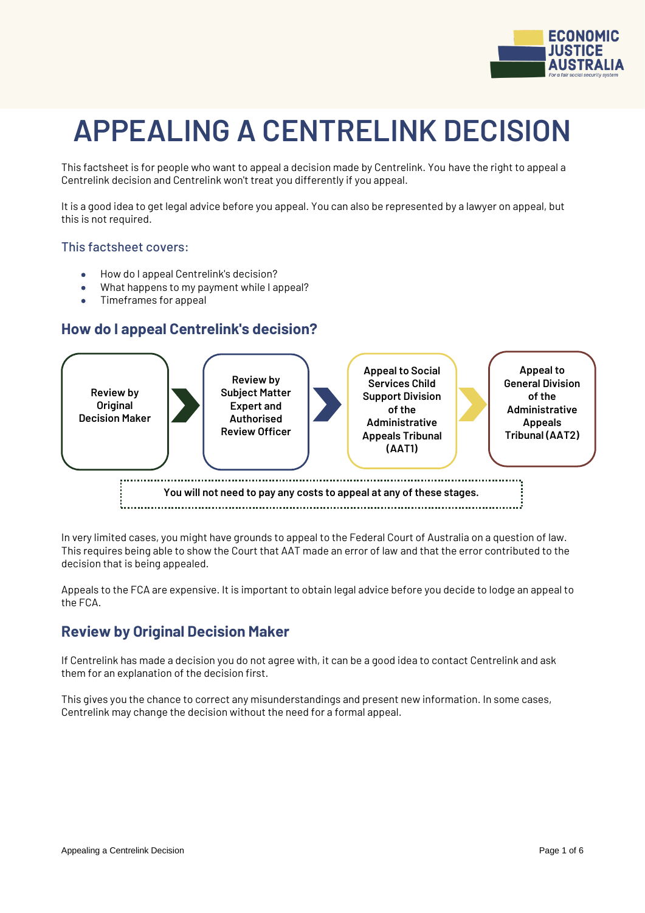

# **APPEALING A CENTRELINK DECISION**

This factsheet is for people who want to appeal a decision made by Centrelink. You have the right to appeal a Centrelink decision and Centrelink won't treat you differently if you appeal.

It is a good idea to get legal advice before you appeal. You can also be represented by a lawyer on appeal, but this is not required.

#### This factsheet covers:

- How do I appeal Centrelink's decision?
- What happens to my payment while I appeal?
- Timeframes for appeal

## **How do I appeal Centrelink's decision?**



In very limited cases, you might have grounds to appeal to the Federal Court of Australia on a question of law. This requires being able to show the Court that AAT made an error of law and that the error contributed to the decision that is being appealed.

Appeals to the FCA are expensive. It is important to obtain legal advice before you decide to lodge an appeal to the FCA.

## **Review by Original Decision Maker**

If Centrelink has made a decision you do not agree with, it can be a good idea to contact Centrelink and ask them for an explanation of the decision first.

This gives you the chance to correct any misunderstandings and present new information. In some cases, Centrelink may change the decision without the need for a formal appeal.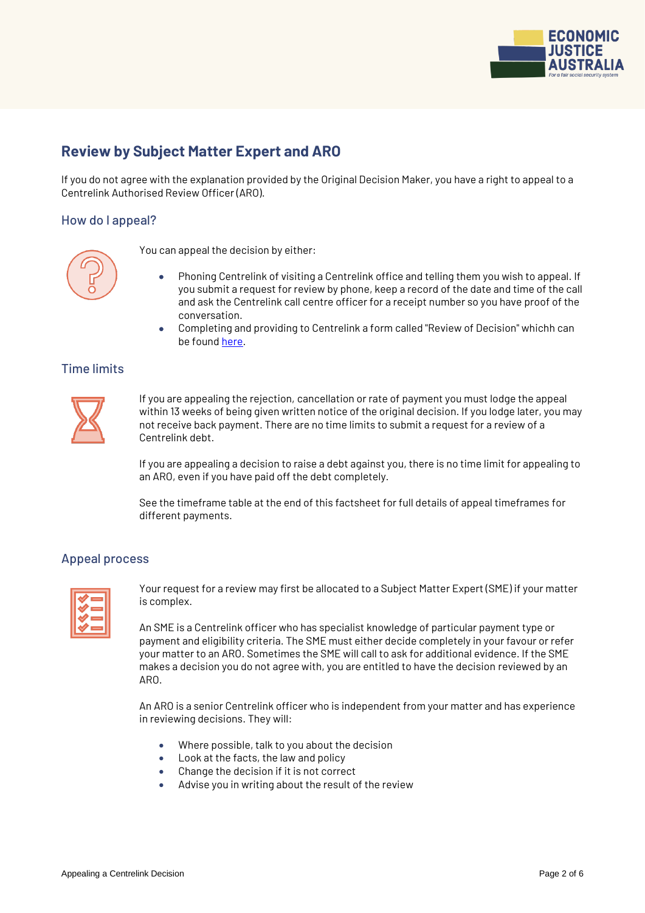

# **Review by Subject Matter Expert and ARO**

If you do not agree with the explanation provided by the Original Decision Maker, you have a right to appeal to a Centrelink Authorised Review Officer (ARO).

#### How do I appeal?



You can appeal the decision by either:

- Phoning Centrelink of visiting a Centrelink office and telling them you wish to appeal. If you submit a request for review by phone, keep a record of the date and time of the call and ask the Centrelink call centre officer for a receipt number so you have proof of the conversation.
- Completing and providing to Centrelink a form called "Review of Decision" whichh can be foun[d here.](https://www.humanservices.gov.au/individuals/forms/centrelink)

#### Time limits



If you are appealing the rejection, cancellation or rate of payment you must lodge the appeal within 13 weeks of being given written notice of the original decision. If you lodge later, you may not receive back payment. There are no time limits to submit a request for a review of a Centrelink debt.

If you are appealing a decision to raise a debt against you, there is no time limit for appealing to an ARO, even if you have paid off the debt completely.

See the timeframe table at the end of this factsheet for full details of appeal timeframes for different payments.

#### Appeal process

|  | _  |
|--|----|
|  | __ |
|  | _  |
|  | _  |

Your request for a review may first be allocated to a Subject Matter Expert (SME) if your matter is complex.

An SME is a Centrelink officer who has specialist knowledge of particular payment type or payment and eligibility criteria. The SME must either decide completely in your favour or refer your matter to an ARO. Sometimes the SME will call to ask for additional evidence. If the SME makes a decision you do not agree with, you are entitled to have the decision reviewed by an ARO.

An ARO is a senior Centrelink officer who is independent from your matter and has experience in reviewing decisions. They will:

- Where possible, talk to you about the decision
- Look at the facts, the law and policy
- Change the decision if it is not correct
- Advise you in writing about the result of the review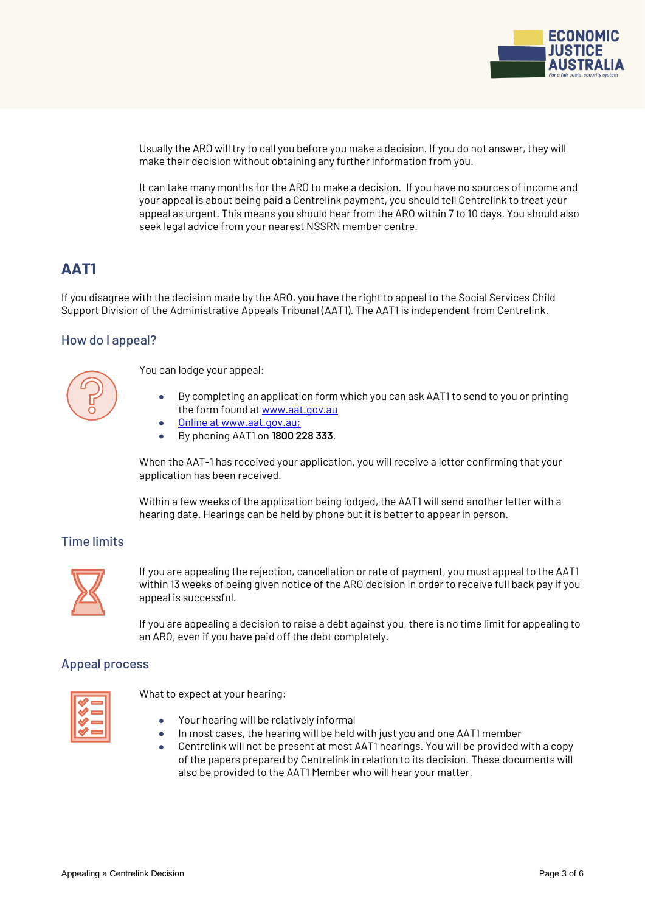

Usually the ARO will try to call you before you make a decision. If you do not answer, they will make their decision without obtaining any further information from you.

It can take many months for the ARO to make a decision. If you have no sources of income and your appeal is about being paid a Centrelink payment, you should tell Centrelink to treat your appeal as urgent. This means you should hear from the ARO within 7 to 10 days. You should also seek legal advice from your nearest NSSRN member centre.

# **AAT1**

If you disagree with the decision made by the ARO, you have the right to appeal to the Social Services Child Support Division of the Administrative Appeals Tribunal (AAT1). The AAT1 is independent from Centrelink.

### How do I appeal?



You can lodge your appeal:

- By completing an application form which you can ask AAT1 to send to you or printing the form found at [www.aat.gov.au](http://www.aat.gov.au/)
- Online at www.aat.gov.au;
- By phoning AAT1 on **1800 228 333**.

When the AAT-1 has received your application, you will receive a letter confirming that your application has been received.

Within a few weeks of the application being lodged, the AAT1 will send another letter with a hearing date. Hearings can be held by phone but it is better to appear in person.

### Time limits



If you are appealing the rejection, cancellation or rate of payment, you must appeal to the AAT1 within 13 weeks of being given notice of the ARO decision in order to receive full back pay if you appeal is successful.

If you are appealing a decision to raise a debt against you, there is no time limit for appealing to an ARO, even if you have paid off the debt completely.

#### Appeal process



What to expect at your hearing:

- Your hearing will be relatively informal
- In most cases, the hearing will be held with just you and one AAT1 member
- Centrelink will not be present at most AAT1 hearings. You will be provided with a copy of the papers prepared by Centrelink in relation to its decision. These documents will also be provided to the AAT1 Member who will hear your matter.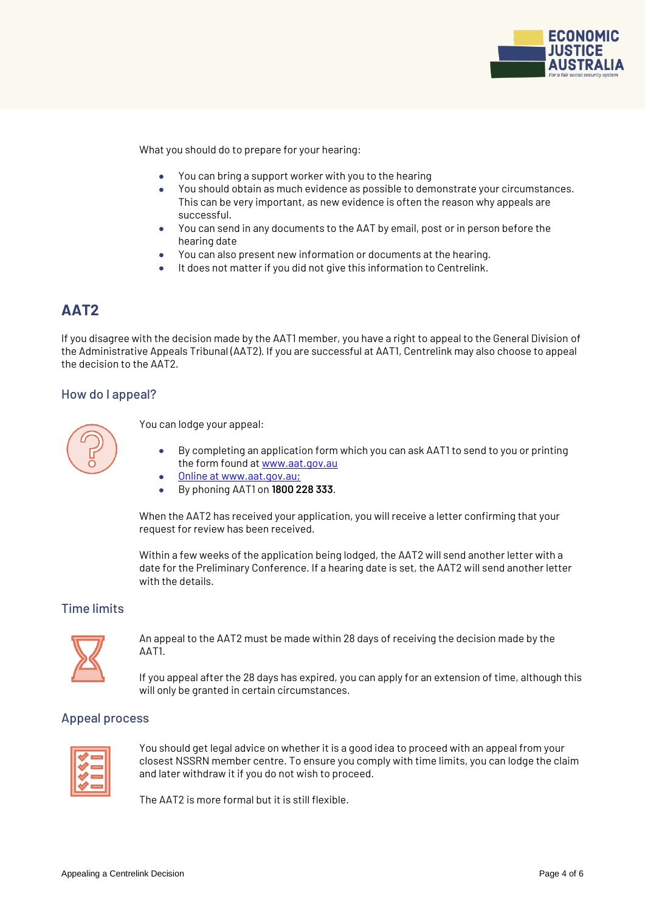

What you should do to prepare for your hearing:

- You can bring a support worker with you to the hearing
- You should obtain as much evidence as possible to demonstrate your circumstances. This can be very important, as new evidence is often the reason why appeals are successful.
- You can send in any documents to the AAT by email, post or in person before the hearing date
- You can also present new information or documents at the hearing.
- It does not matter if you did not give this information to Centrelink.

# **AAT2**

If you disagree with the decision made by the AAT1 member, you have a right to appeal to the General Division of the Administrative Appeals Tribunal (AAT2). If you are successful at AAT1, Centrelink may also choose to appeal the decision to the AAT2.

#### How do I appeal?



You can lodge your appeal:

- By completing an application form which you can ask AAT1 to send to you or printing the form found at [www.aat.gov.au](http://www.aat.gov.au/)
- Online at www.aat.gov.au;
- By phoning AAT1 on **1800 228 333**.

When the AAT2 has received your application, you will receive a letter confirming that your request for review has been received.

Within a few weeks of the application being lodged, the AAT2 will send another letter with a date for the Preliminary Conference. If a hearing date is set, the AAT2 will send another letter with the details.

#### Time limits



An appeal to the AAT2 must be made within 28 days of receiving the decision made by the AAT1.

If you appeal after the 28 days has expired, you can apply for an extension of time, although this will only be granted in certain circumstances.

#### Appeal process



You should get legal advice on whether it is a good idea to proceed with an appeal from your closest NSSRN member centre. To ensure you comply with time limits, you can lodge the claim and later withdraw it if you do not wish to proceed.

The AAT2 is more formal but it is still flexible.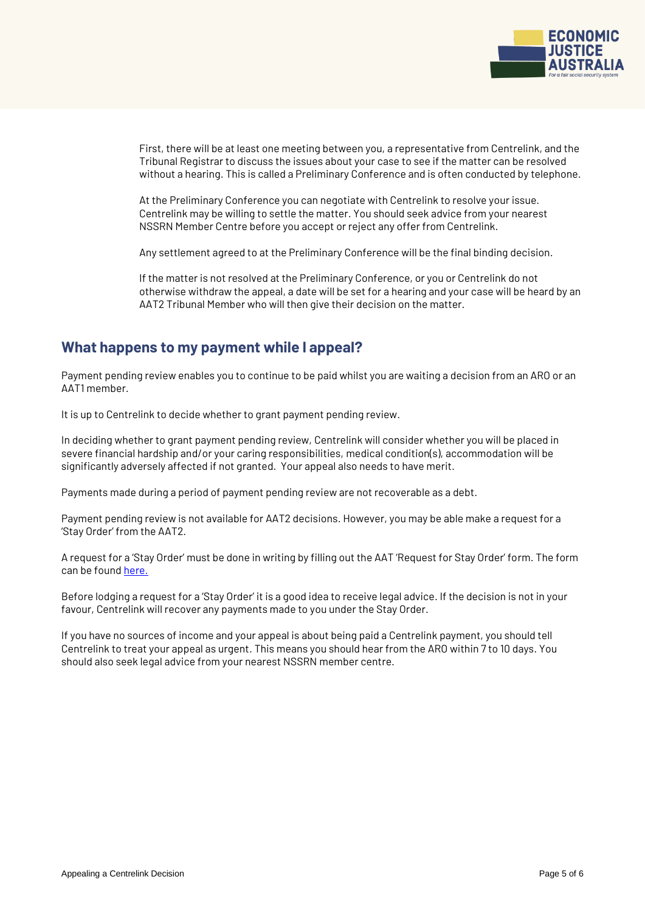

First, there will be at least one meeting between you, a representative from Centrelink, and the Tribunal Registrar to discuss the issues about your case to see if the matter can be resolved without a hearing. This is called a Preliminary Conference and is often conducted by telephone.

At the Preliminary Conference you can negotiate with Centrelink to resolve your issue. Centrelink may be willing to settle the matter. You should seek advice from your nearest NSSRN Member Centre before you accept or reject any offer from Centrelink.

Any settlement agreed to at the Preliminary Conference will be the final binding decision.

If the matter is not resolved at the Preliminary Conference, or you or Centrelink do not otherwise withdraw the appeal, a date will be set for a hearing and your case will be heard by an AAT2 Tribunal Member who will then give their decision on the matter.

## **What happens to my payment while I appeal?**

Payment pending review enables you to continue to be paid whilst you are waiting a decision from an ARO or an AAT1 member.

It is up to Centrelink to decide whether to grant payment pending review.

In deciding whether to grant payment pending review, Centrelink will consider whether you will be placed in severe financial hardship and/or your caring responsibilities, medical condition(s), accommodation will be significantly adversely affected if not granted. Your appeal also needs to have merit.

Payments made during a period of payment pending review are not recoverable as a debt.

Payment pending review is not available for AAT2 decisions. However, you may be able make a request for a 'Stay Order' from the AAT2.

A request for a 'Stay Order' must be done in writing by filling out the AAT 'Request for Stay Order' form. The form can be foun[d here.](https://www.aat.gov.au/AAT/media/AAT/Files/Forms/Request-for-Stay-Order.pdf)

Before lodging a request for a 'Stay Order' it is a good idea to receive legal advice. If the decision is not in your favour, Centrelink will recover any payments made to you under the Stay Order.

If you have no sources of income and your appeal is about being paid a Centrelink payment, you should tell Centrelink to treat your appeal as urgent. This means you should hear from the ARO within 7 to 10 days. You should also seek legal advice from your nearest NSSRN member centre.